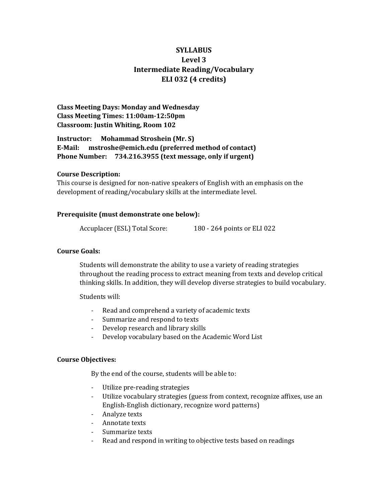# **SYLLABUS Level 3 Intermediate Reading/Vocabulary ELI 032 (4 credits)**

**Class Meeting Days: Monday and Wednesday Class Meeting Times: 11:00am-12:50pm Classroom: Justin Whiting, Room 102**

**Instructor: Mohammad Stroshein (Mr. S) E-Mail: mstroshe@emich.edu (preferred method of contact) Phone Number: 734.216.3955 (text message, only if urgent)**

### **Course Description:**

This course is designed for non-native speakers of English with an emphasis on the development of reading/vocabulary skills at the intermediate level.

#### **Prerequisite (must demonstrate one below):**

Accuplacer (ESL) Total Score: 180 - 264 points or ELI 022

#### **Course Goals:**

Students will demonstrate the ability to use a variety of reading strategies throughout the reading process to extract meaning from texts and develop critical thinking skills. In addition, they will develop diverse strategies to build vocabulary.

Students will:

- Read and comprehend a variety of academic texts
- Summarize and respond to texts
- Develop research and library skills
- Develop vocabulary based on the Academic Word List

#### **Course Objectives:**

By the end of the course, students will be able to:

- Utilize pre-reading strategies
- Utilize vocabulary strategies (guess from context, recognize affixes, use an English-English dictionary, recognize word patterns)
- Analyze texts
- Annotate texts
- Summarize texts
- Read and respond in writing to objective tests based on readings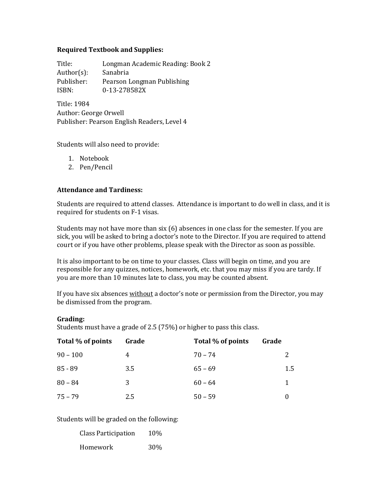### **Required Textbook and Supplies:**

Title: Longman Academic Reading: Book 2 Author(s): Sanabria Publisher: Pearson Longman Publishing ISBN: 0-13-278582X

Title: 1984 Author: George Orwell Publisher: Pearson English Readers, Level 4

Students will also need to provide:

- 1. Notebook
- 2. Pen/Pencil

### **Attendance and Tardiness:**

Students are required to attend classes. Attendance is important to do well in class, and it is required for students on F-1 visas.

Students may not have more than six (6) absences in one class for the semester. If you are sick, you will be asked to bring a doctor's note to the Director. If you are required to attend court or if you have other problems, please speak with the Director as soon as possible.

It is also important to be on time to your classes. Class will begin on time, and you are responsible for any quizzes, notices, homework, etc. that you may miss if you are tardy. If you are more than 10 minutes late to class, you may be counted absent.

If you have six absences without a doctor's note or permission from the Director, you may be dismissed from the program.

### **Grading:**

Students must have a grade of 2.5 (75%) or higher to pass this class.

| Total % of points | Grade | Total % of points | Grade |
|-------------------|-------|-------------------|-------|
| $90 - 100$        | 4     | $70 - 74$         | 2     |
| $85 - 89$         | 3.5   | $65 - 69$         | 1.5   |
| $80 - 84$         | 3     | $60 - 64$         | 1     |
| $75 - 79$         | 2.5   | $50 - 59$         |       |

Students will be graded on the following:

| <b>Class Participation</b> | 10% |
|----------------------------|-----|
| Homework                   | 30% |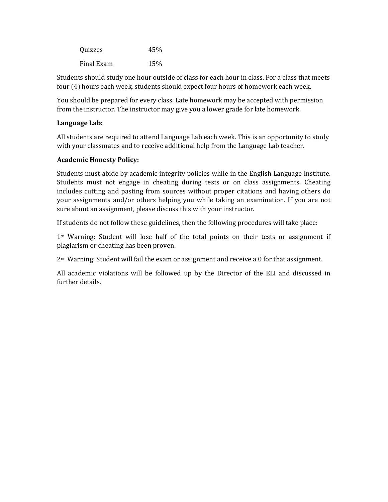| Quizzes    | 45% |
|------------|-----|
| Final Exam | 15% |

Students should study one hour outside of class for each hour in class. For a class that meets four (4) hours each week, students should expect four hours of homework each week.

You should be prepared for every class. Late homework may be accepted with permission from the instructor. The instructor may give you a lower grade for late homework.

## **Language Lab:**

All students are required to attend Language Lab each week. This is an opportunity to study with your classmates and to receive additional help from the Language Lab teacher.

# **Academic Honesty Policy:**

Students must abide by academic integrity policies while in the English Language Institute. Students must not engage in cheating during tests or on class assignments. Cheating includes cutting and pasting from sources without proper citations and having others do your assignments and/or others helping you while taking an examination. If you are not sure about an assignment, please discuss this with your instructor.

If students do not follow these guidelines, then the following procedures will take place:

1<sup>st</sup> Warning: Student will lose half of the total points on their tests or assignment if plagiarism or cheating has been proven.

2nd Warning: Student will fail the exam or assignment and receive a 0 for that assignment.

All academic violations will be followed up by the Director of the ELI and discussed in further details.